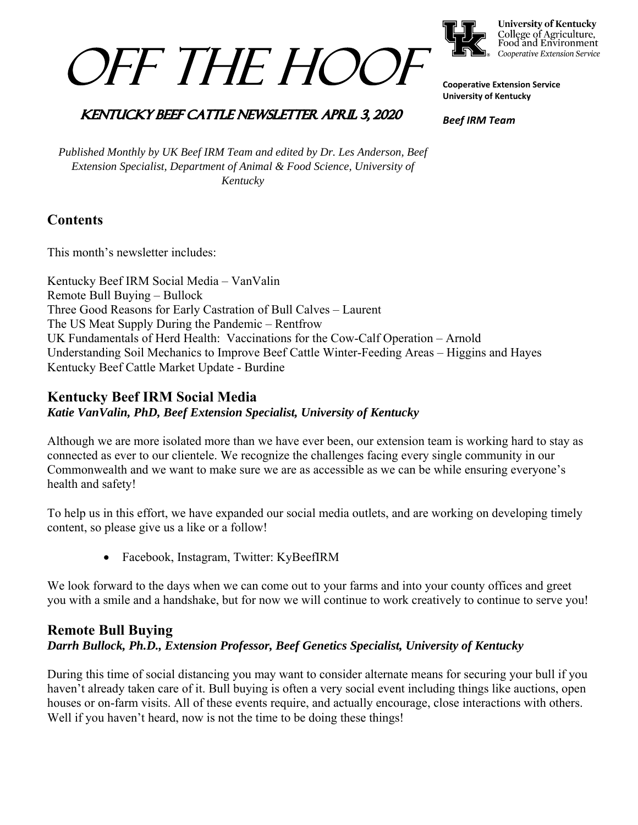



**University of Kentucky** College of Agriculture,<br>Food and Environment Cooperative Extension Service

**Cooperative Extension Service University of Kentucky** 

## **KENTUCKY BEEF CATTLE NEWSLETTER APRIL 3, 2020**

*Beef IRM Team* 

*Published Monthly by UK Beef IRM Team and edited by Dr. Les Anderson, Beef Extension Specialist, Department of Animal & Food Science, University of Kentucky* 

# **Contents**

This month's newsletter includes:

Kentucky Beef IRM Social Media – VanValin Remote Bull Buying – Bullock Three Good Reasons for Early Castration of Bull Calves – Laurent The US Meat Supply During the Pandemic – Rentfrow UK Fundamentals of Herd Health: Vaccinations for the Cow-Calf Operation – Arnold Understanding Soil Mechanics to Improve Beef Cattle Winter-Feeding Areas – Higgins and Hayes Kentucky Beef Cattle Market Update - Burdine

## **Kentucky Beef IRM Social Media**

*Katie VanValin, PhD, Beef Extension Specialist, University of Kentucky* 

Although we are more isolated more than we have ever been, our extension team is working hard to stay as connected as ever to our clientele. We recognize the challenges facing every single community in our Commonwealth and we want to make sure we are as accessible as we can be while ensuring everyone's health and safety!

To help us in this effort, we have expanded our social media outlets, and are working on developing timely content, so please give us a like or a follow!

Facebook, Instagram, Twitter: KyBeefIRM

We look forward to the days when we can come out to your farms and into your county offices and greet you with a smile and a handshake, but for now we will continue to work creatively to continue to serve you!

## **Remote Bull Buying**  *Darrh Bullock, Ph.D., Extension Professor, Beef Genetics Specialist, University of Kentucky*

During this time of social distancing you may want to consider alternate means for securing your bull if you haven't already taken care of it. Bull buying is often a very social event including things like auctions, open houses or on-farm visits. All of these events require, and actually encourage, close interactions with others. Well if you haven't heard, now is not the time to be doing these things!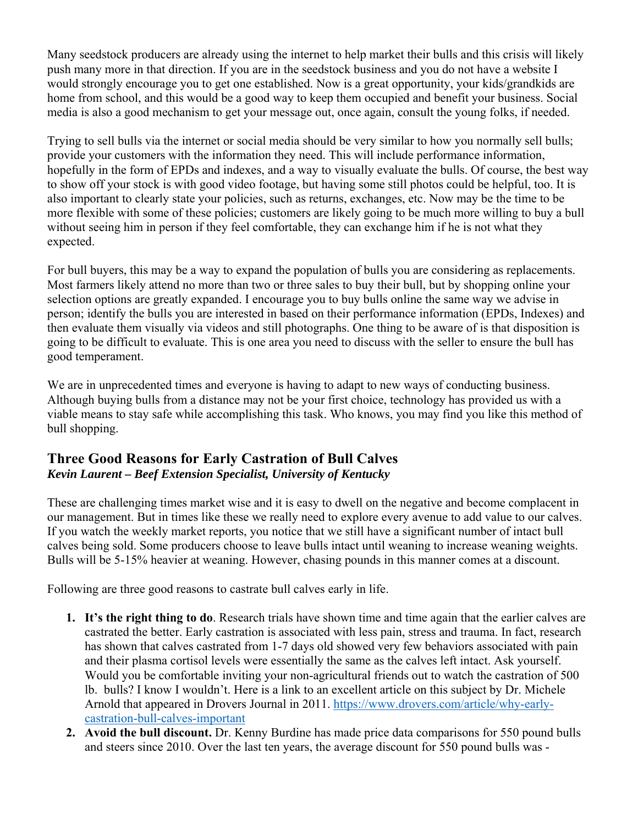Many seedstock producers are already using the internet to help market their bulls and this crisis will likely push many more in that direction. If you are in the seedstock business and you do not have a website I would strongly encourage you to get one established. Now is a great opportunity, your kids/grandkids are home from school, and this would be a good way to keep them occupied and benefit your business. Social media is also a good mechanism to get your message out, once again, consult the young folks, if needed.

Trying to sell bulls via the internet or social media should be very similar to how you normally sell bulls; provide your customers with the information they need. This will include performance information, hopefully in the form of EPDs and indexes, and a way to visually evaluate the bulls. Of course, the best way to show off your stock is with good video footage, but having some still photos could be helpful, too. It is also important to clearly state your policies, such as returns, exchanges, etc. Now may be the time to be more flexible with some of these policies; customers are likely going to be much more willing to buy a bull without seeing him in person if they feel comfortable, they can exchange him if he is not what they expected.

For bull buyers, this may be a way to expand the population of bulls you are considering as replacements. Most farmers likely attend no more than two or three sales to buy their bull, but by shopping online your selection options are greatly expanded. I encourage you to buy bulls online the same way we advise in person; identify the bulls you are interested in based on their performance information (EPDs, Indexes) and then evaluate them visually via videos and still photographs. One thing to be aware of is that disposition is going to be difficult to evaluate. This is one area you need to discuss with the seller to ensure the bull has good temperament.

We are in unprecedented times and everyone is having to adapt to new ways of conducting business. Although buying bulls from a distance may not be your first choice, technology has provided us with a viable means to stay safe while accomplishing this task. Who knows, you may find you like this method of bull shopping.

## **Three Good Reasons for Early Castration of Bull Calves**  *Kevin Laurent – Beef Extension Specialist, University of Kentucky*

These are challenging times market wise and it is easy to dwell on the negative and become complacent in our management. But in times like these we really need to explore every avenue to add value to our calves. If you watch the weekly market reports, you notice that we still have a significant number of intact bull calves being sold. Some producers choose to leave bulls intact until weaning to increase weaning weights. Bulls will be 5-15% heavier at weaning. However, chasing pounds in this manner comes at a discount.

Following are three good reasons to castrate bull calves early in life.

- **1. It's the right thing to do**. Research trials have shown time and time again that the earlier calves are castrated the better. Early castration is associated with less pain, stress and trauma. In fact, research has shown that calves castrated from 1-7 days old showed very few behaviors associated with pain and their plasma cortisol levels were essentially the same as the calves left intact. Ask yourself. Would you be comfortable inviting your non-agricultural friends out to watch the castration of 500 lb. bulls? I know I wouldn't. Here is a link to an excellent article on this subject by Dr. Michele Arnold that appeared in Drovers Journal in 2011. https://www.drovers.com/article/why-earlycastration-bull-calves-important
- **2. Avoid the bull discount.** Dr. Kenny Burdine has made price data comparisons for 550 pound bulls and steers since 2010. Over the last ten years, the average discount for 550 pound bulls was -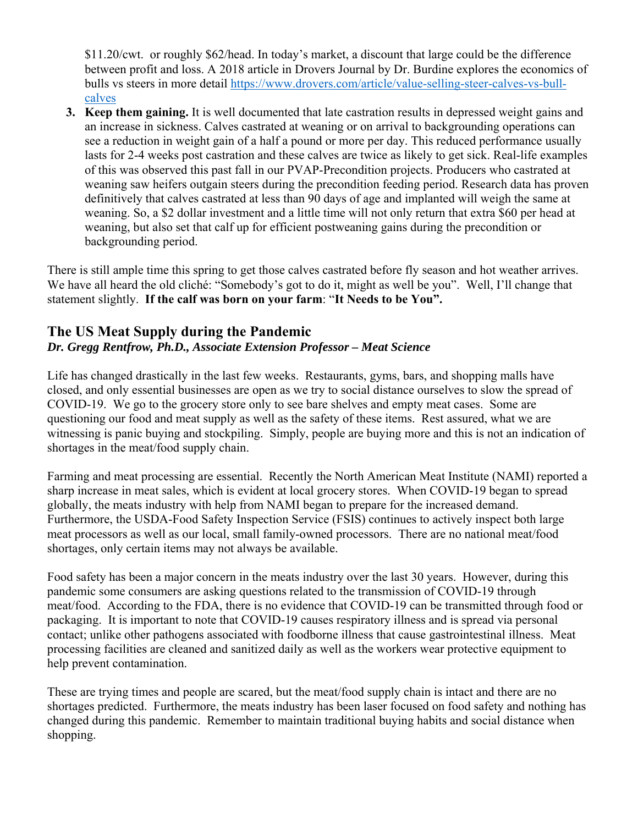\$11.20/cwt. or roughly \$62/head. In today's market, a discount that large could be the difference between profit and loss. A 2018 article in Drovers Journal by Dr. Burdine explores the economics of bulls vs steers in more detail https://www.drovers.com/article/value-selling-steer-calves-vs-bullcalves

**3. Keep them gaining.** It is well documented that late castration results in depressed weight gains and an increase in sickness. Calves castrated at weaning or on arrival to backgrounding operations can see a reduction in weight gain of a half a pound or more per day. This reduced performance usually lasts for 2-4 weeks post castration and these calves are twice as likely to get sick. Real-life examples of this was observed this past fall in our PVAP-Precondition projects. Producers who castrated at weaning saw heifers outgain steers during the precondition feeding period. Research data has proven definitively that calves castrated at less than 90 days of age and implanted will weigh the same at weaning. So, a \$2 dollar investment and a little time will not only return that extra \$60 per head at weaning, but also set that calf up for efficient postweaning gains during the precondition or backgrounding period.

There is still ample time this spring to get those calves castrated before fly season and hot weather arrives. We have all heard the old cliché: "Somebody's got to do it, might as well be you". Well, I'll change that statement slightly. **If the calf was born on your farm**: "**It Needs to be You".**

# **The US Meat Supply during the Pandemic**  *Dr. Gregg Rentfrow, Ph.D., Associate Extension Professor – Meat Science*

Life has changed drastically in the last few weeks. Restaurants, gyms, bars, and shopping malls have closed, and only essential businesses are open as we try to social distance ourselves to slow the spread of COVID-19. We go to the grocery store only to see bare shelves and empty meat cases. Some are questioning our food and meat supply as well as the safety of these items. Rest assured, what we are witnessing is panic buying and stockpiling. Simply, people are buying more and this is not an indication of shortages in the meat/food supply chain.

Farming and meat processing are essential. Recently the North American Meat Institute (NAMI) reported a sharp increase in meat sales, which is evident at local grocery stores. When COVID-19 began to spread globally, the meats industry with help from NAMI began to prepare for the increased demand. Furthermore, the USDA-Food Safety Inspection Service (FSIS) continues to actively inspect both large meat processors as well as our local, small family-owned processors. There are no national meat/food shortages, only certain items may not always be available.

Food safety has been a major concern in the meats industry over the last 30 years. However, during this pandemic some consumers are asking questions related to the transmission of COVID-19 through meat/food. According to the FDA, there is no evidence that COVID-19 can be transmitted through food or packaging. It is important to note that COVID-19 causes respiratory illness and is spread via personal contact; unlike other pathogens associated with foodborne illness that cause gastrointestinal illness. Meat processing facilities are cleaned and sanitized daily as well as the workers wear protective equipment to help prevent contamination.

These are trying times and people are scared, but the meat/food supply chain is intact and there are no shortages predicted. Furthermore, the meats industry has been laser focused on food safety and nothing has changed during this pandemic. Remember to maintain traditional buying habits and social distance when shopping.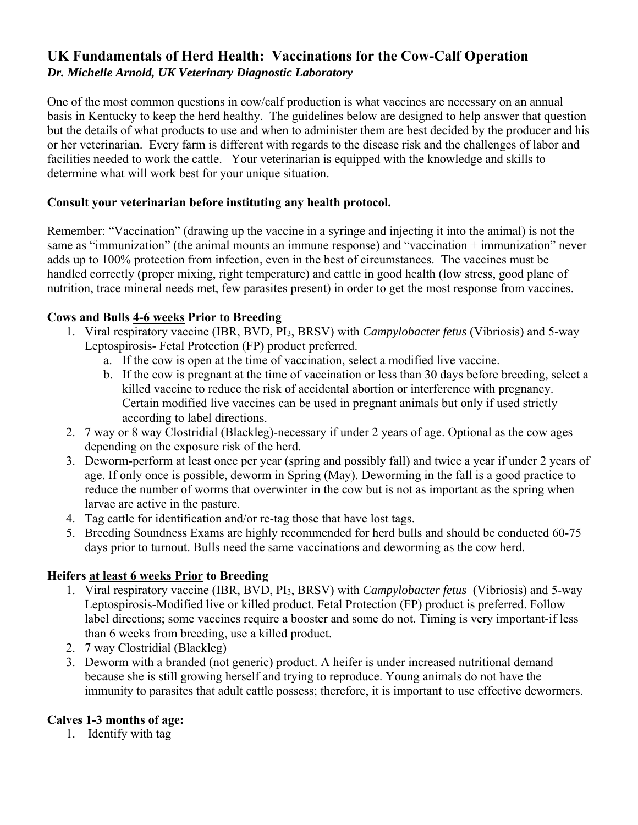# **UK Fundamentals of Herd Health: Vaccinations for the Cow-Calf Operation**  *Dr. Michelle Arnold, UK Veterinary Diagnostic Laboratory*

One of the most common questions in cow/calf production is what vaccines are necessary on an annual basis in Kentucky to keep the herd healthy. The guidelines below are designed to help answer that question but the details of what products to use and when to administer them are best decided by the producer and his or her veterinarian. Every farm is different with regards to the disease risk and the challenges of labor and facilities needed to work the cattle. Your veterinarian is equipped with the knowledge and skills to determine what will work best for your unique situation.

#### **Consult your veterinarian before instituting any health protocol.**

Remember: "Vaccination" (drawing up the vaccine in a syringe and injecting it into the animal) is not the same as "immunization" (the animal mounts an immune response) and "vaccination + immunization" never adds up to 100% protection from infection, even in the best of circumstances. The vaccines must be handled correctly (proper mixing, right temperature) and cattle in good health (low stress, good plane of nutrition, trace mineral needs met, few parasites present) in order to get the most response from vaccines.

#### **Cows and Bulls 4-6 weeks Prior to Breeding**

- 1. Viral respiratory vaccine (IBR, BVD, PI3, BRSV) with *Campylobacter fetus* (Vibriosis) and 5-way Leptospirosis- Fetal Protection (FP) product preferred.
	- a. If the cow is open at the time of vaccination, select a modified live vaccine.
	- b. If the cow is pregnant at the time of vaccination or less than 30 days before breeding, select a killed vaccine to reduce the risk of accidental abortion or interference with pregnancy. Certain modified live vaccines can be used in pregnant animals but only if used strictly according to label directions.
- 2. 7 way or 8 way Clostridial (Blackleg)-necessary if under 2 years of age. Optional as the cow ages depending on the exposure risk of the herd.
- 3. Deworm-perform at least once per year (spring and possibly fall) and twice a year if under 2 years of age. If only once is possible, deworm in Spring (May). Deworming in the fall is a good practice to reduce the number of worms that overwinter in the cow but is not as important as the spring when larvae are active in the pasture.
- 4. Tag cattle for identification and/or re-tag those that have lost tags.
- 5. Breeding Soundness Exams are highly recommended for herd bulls and should be conducted 60-75 days prior to turnout. Bulls need the same vaccinations and deworming as the cow herd.

### **Heifers at least 6 weeks Prior to Breeding**

- 1. Viral respiratory vaccine (IBR, BVD, PI3, BRSV) with *Campylobacter fetus* (Vibriosis) and 5-way Leptospirosis-Modified live or killed product. Fetal Protection (FP) product is preferred. Follow label directions; some vaccines require a booster and some do not. Timing is very important-if less than 6 weeks from breeding, use a killed product.
- 2. 7 way Clostridial (Blackleg)
- 3. Deworm with a branded (not generic) product. A heifer is under increased nutritional demand because she is still growing herself and trying to reproduce. Young animals do not have the immunity to parasites that adult cattle possess; therefore, it is important to use effective dewormers.

### **Calves 1-3 months of age:**

1. Identify with tag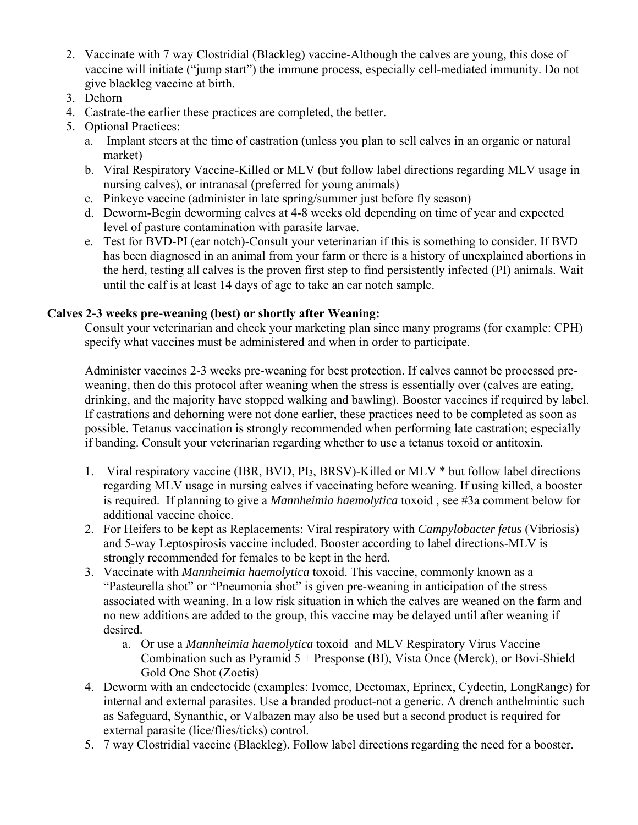- 2. Vaccinate with 7 way Clostridial (Blackleg) vaccine-Although the calves are young, this dose of vaccine will initiate ("jump start") the immune process, especially cell-mediated immunity. Do not give blackleg vaccine at birth.
- 3. Dehorn
- 4. Castrate-the earlier these practices are completed, the better.
- 5. Optional Practices:
	- a. Implant steers at the time of castration (unless you plan to sell calves in an organic or natural market)
	- b. Viral Respiratory Vaccine-Killed or MLV (but follow label directions regarding MLV usage in nursing calves), or intranasal (preferred for young animals)
	- c. Pinkeye vaccine (administer in late spring/summer just before fly season)
	- d. Deworm-Begin deworming calves at 4-8 weeks old depending on time of year and expected level of pasture contamination with parasite larvae.
	- e. Test for BVD-PI (ear notch)-Consult your veterinarian if this is something to consider. If BVD has been diagnosed in an animal from your farm or there is a history of unexplained abortions in the herd, testing all calves is the proven first step to find persistently infected (PI) animals. Wait until the calf is at least 14 days of age to take an ear notch sample.

#### **Calves 2-3 weeks pre-weaning (best) or shortly after Weaning:**

Consult your veterinarian and check your marketing plan since many programs (for example: CPH) specify what vaccines must be administered and when in order to participate.

Administer vaccines 2-3 weeks pre-weaning for best protection. If calves cannot be processed preweaning, then do this protocol after weaning when the stress is essentially over (calves are eating, drinking, and the majority have stopped walking and bawling). Booster vaccines if required by label. If castrations and dehorning were not done earlier, these practices need to be completed as soon as possible. Tetanus vaccination is strongly recommended when performing late castration; especially if banding. Consult your veterinarian regarding whether to use a tetanus toxoid or antitoxin.

- 1. Viral respiratory vaccine (IBR, BVD, PI3, BRSV)-Killed or MLV \* but follow label directions regarding MLV usage in nursing calves if vaccinating before weaning. If using killed, a booster is required. If planning to give a *Mannheimia haemolytica* toxoid , see #3a comment below for additional vaccine choice.
- 2. For Heifers to be kept as Replacements: Viral respiratory with *Campylobacter fetus* (Vibriosis) and 5-way Leptospirosis vaccine included. Booster according to label directions-MLV is strongly recommended for females to be kept in the herd.
- 3. Vaccinate with *Mannheimia haemolytica* toxoid. This vaccine, commonly known as a "Pasteurella shot" or "Pneumonia shot" is given pre-weaning in anticipation of the stress associated with weaning. In a low risk situation in which the calves are weaned on the farm and no new additions are added to the group, this vaccine may be delayed until after weaning if desired.
	- a. Or use a *Mannheimia haemolytica* toxoid and MLV Respiratory Virus Vaccine Combination such as Pyramid 5 + Presponse (BI), Vista Once (Merck), or Bovi-Shield Gold One Shot (Zoetis)
- 4. Deworm with an endectocide (examples: Ivomec, Dectomax, Eprinex, Cydectin, LongRange) for internal and external parasites. Use a branded product-not a generic. A drench anthelmintic such as Safeguard, Synanthic, or Valbazen may also be used but a second product is required for external parasite (lice/flies/ticks) control.
- 5. 7 way Clostridial vaccine (Blackleg). Follow label directions regarding the need for a booster.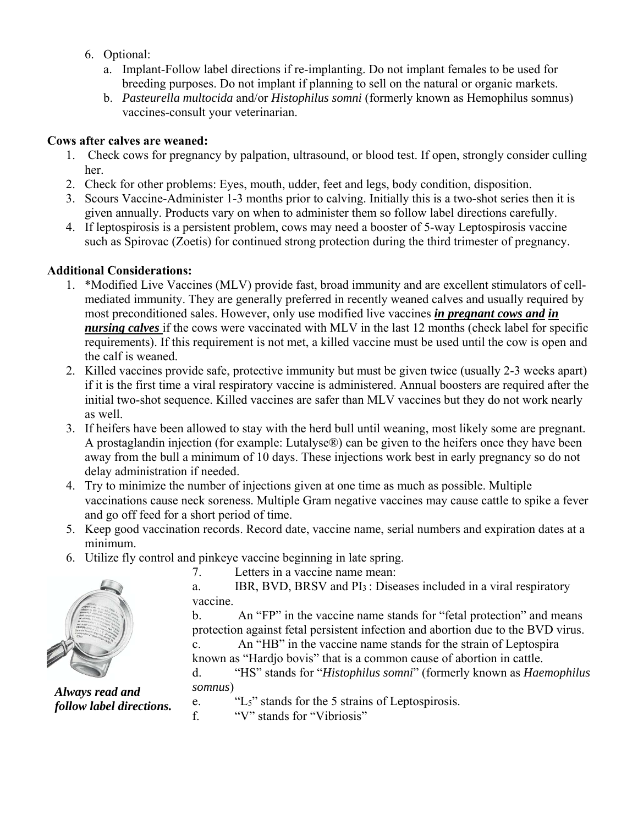- 6. Optional:
	- a. Implant-Follow label directions if re-implanting. Do not implant females to be used for breeding purposes. Do not implant if planning to sell on the natural or organic markets.
	- b. *Pasteurella multocida* and/or *Histophilus somni* (formerly known as Hemophilus somnus) vaccines-consult your veterinarian.

#### **Cows after calves are weaned:**

- 1. Check cows for pregnancy by palpation, ultrasound, or blood test. If open, strongly consider culling her.
- 2. Check for other problems: Eyes, mouth, udder, feet and legs, body condition, disposition.
- 3. Scours Vaccine-Administer 1-3 months prior to calving. Initially this is a two-shot series then it is given annually. Products vary on when to administer them so follow label directions carefully.
- 4. If leptospirosis is a persistent problem, cows may need a booster of 5-way Leptospirosis vaccine such as Spirovac (Zoetis) for continued strong protection during the third trimester of pregnancy.

### **Additional Considerations:**

- 1. \*Modified Live Vaccines (MLV) provide fast, broad immunity and are excellent stimulators of cellmediated immunity. They are generally preferred in recently weaned calves and usually required by most preconditioned sales. However, only use modified live vaccines *in pregnant cows and in nursing calves* if the cows were vaccinated with MLV in the last 12 months (check label for specific requirements). If this requirement is not met, a killed vaccine must be used until the cow is open and the calf is weaned.
- 2. Killed vaccines provide safe, protective immunity but must be given twice (usually 2-3 weeks apart) if it is the first time a viral respiratory vaccine is administered. Annual boosters are required after the initial two-shot sequence. Killed vaccines are safer than MLV vaccines but they do not work nearly as well.
- 3. If heifers have been allowed to stay with the herd bull until weaning, most likely some are pregnant. A prostaglandin injection (for example: Lutalyse®) can be given to the heifers once they have been away from the bull a minimum of 10 days. These injections work best in early pregnancy so do not delay administration if needed.
- 4. Try to minimize the number of injections given at one time as much as possible. Multiple vaccinations cause neck soreness. Multiple Gram negative vaccines may cause cattle to spike a fever and go off feed for a short period of time.
- 5. Keep good vaccination records. Record date, vaccine name, serial numbers and expiration dates at a minimum.
- 6. Utilize fly control and pinkeye vaccine beginning in late spring.

7. Letters in a vaccine name mean:

a. IBR, BVD, BRSV and PI3 : Diseases included in a viral respiratory vaccine.

b. An "FP" in the vaccine name stands for "fetal protection" and means protection against fetal persistent infection and abortion due to the BVD virus.

c. An "HB" in the vaccine name stands for the strain of Leptospira known as "Hardjo bovis" that is a common cause of abortion in cattle.

d. "HS" stands for "*Histophilus somni*" (formerly known as *Haemophilus somnus*)

*Always read and follow label directions.* 

- e. "L5" stands for the 5 strains of Leptospirosis.
- f. "V" stands for "Vibriosis"

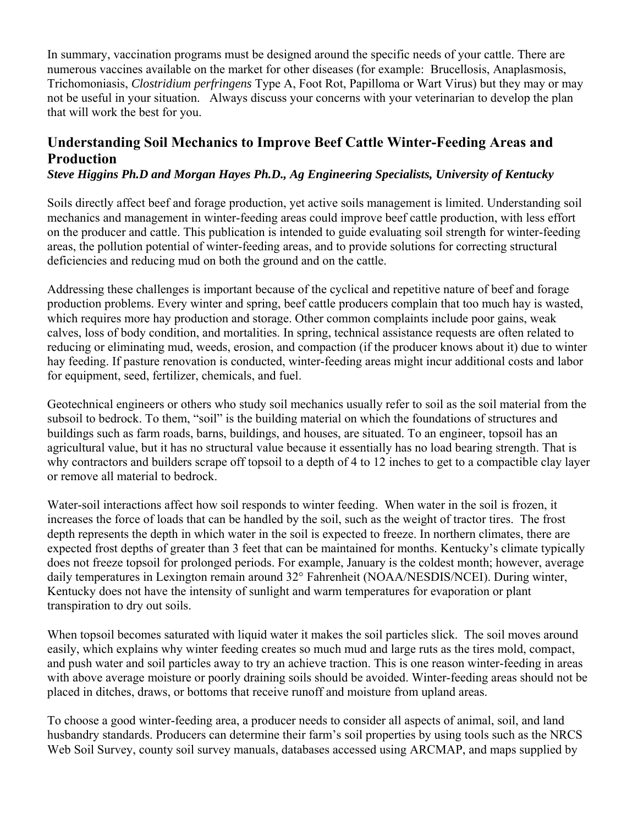In summary, vaccination programs must be designed around the specific needs of your cattle. There are numerous vaccines available on the market for other diseases (for example: Brucellosis, Anaplasmosis, Trichomoniasis, *Clostridium perfringens* Type A, Foot Rot, Papilloma or Wart Virus) but they may or may not be useful in your situation. Always discuss your concerns with your veterinarian to develop the plan that will work the best for you.

# **Understanding Soil Mechanics to Improve Beef Cattle Winter-Feeding Areas and Production**

#### *Steve Higgins Ph.D and Morgan Hayes Ph.D., Ag Engineering Specialists, University of Kentucky*

Soils directly affect beef and forage production, yet active soils management is limited. Understanding soil mechanics and management in winter-feeding areas could improve beef cattle production, with less effort on the producer and cattle. This publication is intended to guide evaluating soil strength for winter-feeding areas, the pollution potential of winter-feeding areas, and to provide solutions for correcting structural deficiencies and reducing mud on both the ground and on the cattle.

Addressing these challenges is important because of the cyclical and repetitive nature of beef and forage production problems. Every winter and spring, beef cattle producers complain that too much hay is wasted, which requires more hay production and storage. Other common complaints include poor gains, weak calves, loss of body condition, and mortalities. In spring, technical assistance requests are often related to reducing or eliminating mud, weeds, erosion, and compaction (if the producer knows about it) due to winter hay feeding. If pasture renovation is conducted, winter-feeding areas might incur additional costs and labor for equipment, seed, fertilizer, chemicals, and fuel.

Geotechnical engineers or others who study soil mechanics usually refer to soil as the soil material from the subsoil to bedrock. To them, "soil" is the building material on which the foundations of structures and buildings such as farm roads, barns, buildings, and houses, are situated. To an engineer, topsoil has an agricultural value, but it has no structural value because it essentially has no load bearing strength. That is why contractors and builders scrape off topsoil to a depth of 4 to 12 inches to get to a compactible clay layer or remove all material to bedrock.

Water-soil interactions affect how soil responds to winter feeding. When water in the soil is frozen, it increases the force of loads that can be handled by the soil, such as the weight of tractor tires. The frost depth represents the depth in which water in the soil is expected to freeze. In northern climates, there are expected frost depths of greater than 3 feet that can be maintained for months. Kentucky's climate typically does not freeze topsoil for prolonged periods. For example, January is the coldest month; however, average daily temperatures in Lexington remain around 32° Fahrenheit (NOAA/NESDIS/NCEI). During winter, Kentucky does not have the intensity of sunlight and warm temperatures for evaporation or plant transpiration to dry out soils.

When topsoil becomes saturated with liquid water it makes the soil particles slick. The soil moves around easily, which explains why winter feeding creates so much mud and large ruts as the tires mold, compact, and push water and soil particles away to try an achieve traction. This is one reason winter-feeding in areas with above average moisture or poorly draining soils should be avoided. Winter-feeding areas should not be placed in ditches, draws, or bottoms that receive runoff and moisture from upland areas.

To choose a good winter-feeding area, a producer needs to consider all aspects of animal, soil, and land husbandry standards. Producers can determine their farm's soil properties by using tools such as the NRCS Web Soil Survey, county soil survey manuals, databases accessed using ARCMAP, and maps supplied by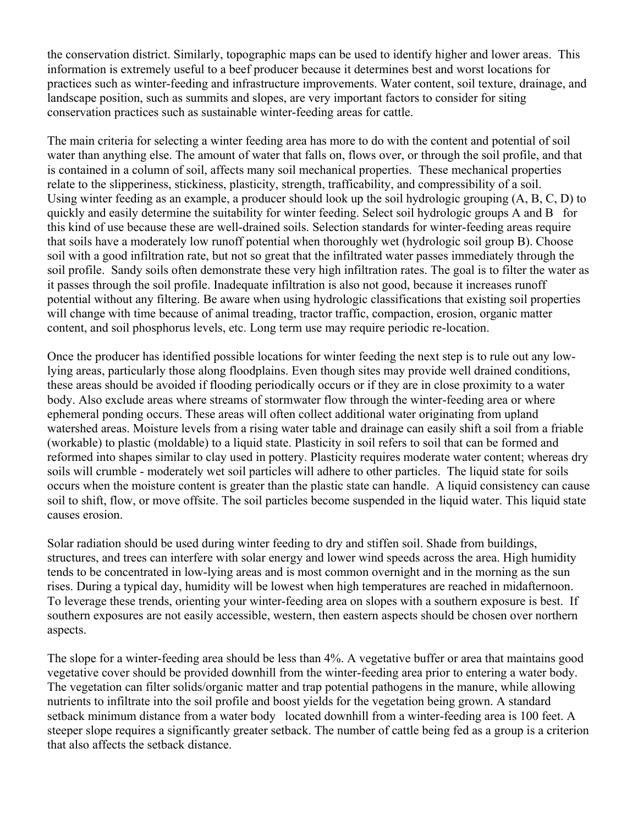the conservation district. Similarly, topographic maps can be used to identify higher and lower areas. This information is extremely useful to a beef producer because it determines best and worst locations for practices such as winter-feeding and infrastructure improvements. Water content, soil texture, drainage, and landscape position, such as summits and slopes, are very important factors to consider for siting conservation practices such as sustainable winter-feeding areas for cattle.

The main criteria for selecting a winter feeding area has more to do with the content and potential of soil water than anything else. The amount of water that falls on, flows over, or through the soil profile, and that is contained in a column of soil, affects many soil mechanical properties. These mechanical properties relate to the slipperiness, stickiness, plasticity, strength, trafficability, and compressibility of a soil. Using winter feeding as an example, a producer should look up the soil hydrologic grouping (A, B, C, D) to quickly and easily determine the suitability for winter feeding. Select soil hydrologic groups A and B for this kind of use because these are well-drained soils. Selection standards for winter-feeding areas require that soils have a moderately low runoff potential when thoroughly wet (hydrologic soil group B). Choose soil with a good infiltration rate, but not so great that the infiltrated water passes immediately through the soil profile. Sandy soils often demonstrate these very high infiltration rates. The goal is to filter the water as it passes through the soil profile. Inadequate infiltration is also not good, because it increases runoff potential without any filtering. Be aware when using hydrologic classifications that existing soil properties will change with time because of animal treading, tractor traffic, compaction, erosion, organic matter content, and soil phosphorus levels, etc. Long term use may require periodic re-location.

Once the producer has identified possible locations for winter feeding the next step is to rule out any lowlying areas, particularly those along floodplains. Even though sites may provide well drained conditions, these areas should be avoided if flooding periodically occurs or if they are in close proximity to a water body. Also exclude areas where streams of stormwater flow through the winter-feeding area or where ephemeral ponding occurs. These areas will often collect additional water originating from upland watershed areas. Moisture levels from a rising water table and drainage can easily shift a soil from a friable (workable) to plastic (moldable) to a liquid state. Plasticity in soil refers to soil that can be formed and reformed into shapes similar to clay used in pottery. Plasticity requires moderate water content; whereas dry soils will crumble - moderately wet soil particles will adhere to other particles. The liquid state for soils occurs when the moisture content is greater than the plastic state can handle. A liquid consistency can cause soil to shift, flow, or move offsite. The soil particles become suspended in the liquid water. This liquid state causes erosion.

Solar radiation should be used during winter feeding to dry and stiffen soil. Shade from buildings, structures, and trees can interfere with solar energy and lower wind speeds across the area. High humidity tends to be concentrated in low-lying areas and is most common overnight and in the morning as the sun rises. During a typical day, humidity will be lowest when high temperatures are reached in midafternoon. To leverage these trends, orienting your winter-feeding area on slopes with a southern exposure is best. If southern exposures are not easily accessible, western, then eastern aspects should be chosen over northern aspects.

The slope for a winter-feeding area should be less than 4%. A vegetative buffer or area that maintains good vegetative cover should be provided downhill from the winter-feeding area prior to entering a water body. The vegetation can filter solids/organic matter and trap potential pathogens in the manure, while allowing nutrients to infiltrate into the soil profile and boost yields for the vegetation being grown. A standard setback minimum distance from a water body located downhill from a winter-feeding area is 100 feet. A steeper slope requires a significantly greater setback. The number of cattle being fed as a group is a criterion that also affects the setback distance.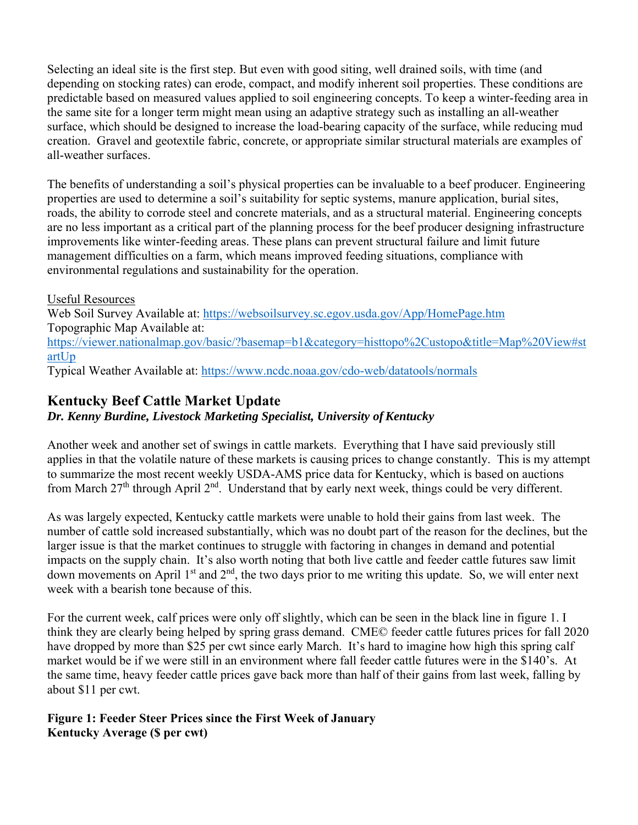Selecting an ideal site is the first step. But even with good siting, well drained soils, with time (and depending on stocking rates) can erode, compact, and modify inherent soil properties. These conditions are predictable based on measured values applied to soil engineering concepts. To keep a winter-feeding area in the same site for a longer term might mean using an adaptive strategy such as installing an all-weather surface, which should be designed to increase the load-bearing capacity of the surface, while reducing mud creation. Gravel and geotextile fabric, concrete, or appropriate similar structural materials are examples of all-weather surfaces.

The benefits of understanding a soil's physical properties can be invaluable to a beef producer. Engineering properties are used to determine a soil's suitability for septic systems, manure application, burial sites, roads, the ability to corrode steel and concrete materials, and as a structural material. Engineering concepts are no less important as a critical part of the planning process for the beef producer designing infrastructure improvements like winter-feeding areas. These plans can prevent structural failure and limit future management difficulties on a farm, which means improved feeding situations, compliance with environmental regulations and sustainability for the operation.

Useful Resources Web Soil Survey Available at: https://websoilsurvey.sc.egov.usda.gov/App/HomePage.htm Topographic Map Available at: https://viewer.nationalmap.gov/basic/?basemap=b1&category=histtopo%2Custopo&title=Map%20View#st artUp Typical Weather Available at: https://www.ncdc.noaa.gov/cdo-web/datatools/normals

# **Kentucky Beef Cattle Market Update**

## *Dr. Kenny Burdine, Livestock Marketing Specialist, University of Kentucky*

Another week and another set of swings in cattle markets. Everything that I have said previously still applies in that the volatile nature of these markets is causing prices to change constantly. This is my attempt to summarize the most recent weekly USDA-AMS price data for Kentucky, which is based on auctions from March 27<sup>th</sup> through April 2<sup>nd</sup>. Understand that by early next week, things could be very different.

As was largely expected, Kentucky cattle markets were unable to hold their gains from last week. The number of cattle sold increased substantially, which was no doubt part of the reason for the declines, but the larger issue is that the market continues to struggle with factoring in changes in demand and potential impacts on the supply chain. It's also worth noting that both live cattle and feeder cattle futures saw limit down movements on April  $1<sup>st</sup>$  and  $2<sup>nd</sup>$ , the two days prior to me writing this update. So, we will enter next week with a bearish tone because of this.

For the current week, calf prices were only off slightly, which can be seen in the black line in figure 1. I think they are clearly being helped by spring grass demand. CME© feeder cattle futures prices for fall 2020 have dropped by more than \$25 per cwt since early March. It's hard to imagine how high this spring calf market would be if we were still in an environment where fall feeder cattle futures were in the \$140's. At the same time, heavy feeder cattle prices gave back more than half of their gains from last week, falling by about \$11 per cwt.

#### **Figure 1: Feeder Steer Prices since the First Week of January Kentucky Average (\$ per cwt)**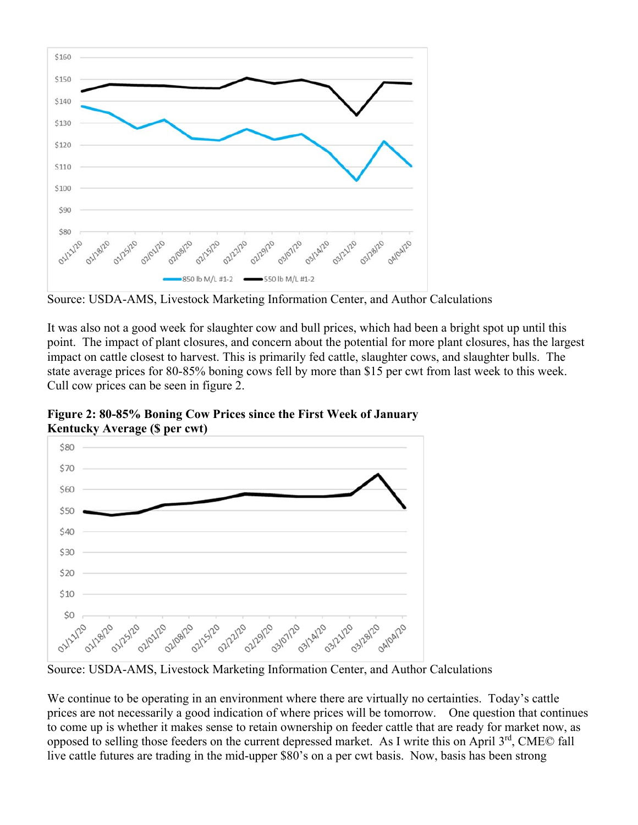

Source: USDA-AMS, Livestock Marketing Information Center, and Author Calculations

It was also not a good week for slaughter cow and bull prices, which had been a bright spot up until this point. The impact of plant closures, and concern about the potential for more plant closures, has the largest impact on cattle closest to harvest. This is primarily fed cattle, slaughter cows, and slaughter bulls. The state average prices for 80-85% boning cows fell by more than \$15 per cwt from last week to this week. Cull cow prices can be seen in figure 2.

**Figure 2: 80-85% Boning Cow Prices since the First Week of January Kentucky Average (\$ per cwt)** 



Source: USDA-AMS, Livestock Marketing Information Center, and Author Calculations

We continue to be operating in an environment where there are virtually no certainties. Today's cattle prices are not necessarily a good indication of where prices will be tomorrow. One question that continues to come up is whether it makes sense to retain ownership on feeder cattle that are ready for market now, as opposed to selling those feeders on the current depressed market. As I write this on April  $3<sup>rd</sup>$ , CME $\odot$  fall live cattle futures are trading in the mid-upper \$80's on a per cwt basis. Now, basis has been strong